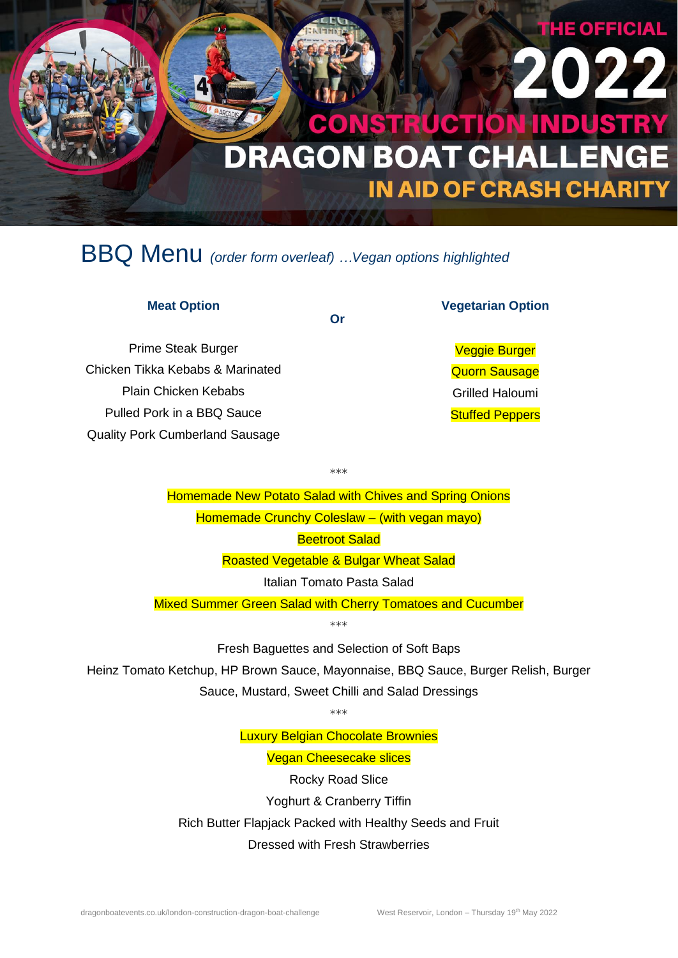# **RUCTION INDUSTRY** DRAGON BOAT CHALLENGE **IN AID OF CRASH CHARITY**

### BBQ Menu *(order form overleaf) …Vegan options highlighted*

### **Meat Option**

Prime Steak Burger Chicken Tikka Kebabs & Marinated Plain Chicken Kebabs Pulled Pork in a BBQ Sauce Quality Pork Cumberland Sausage

#### **Vegetarian Option**

**HE OFFICIAL** 

Veggie Burger Quorn Sausage Grilled Haloumi **Stuffed Peppers** 

Homemade New Potato Salad with Chives and Spring Onions Homemade Crunchy Coleslaw – (with vegan mayo) Beetroot Salad

\*\*\*

**Or**

Roasted Vegetable & Bulgar Wheat Salad

Italian Tomato Pasta Salad

Mixed Summer Green Salad with Cherry Tomatoes and Cucumber

\*\*\*

Fresh Baguettes and Selection of Soft Baps

Heinz Tomato Ketchup, HP Brown Sauce, Mayonnaise, BBQ Sauce, Burger Relish, Burger Sauce, Mustard, Sweet Chilli and Salad Dressings

\*\*\*

Luxury Belgian Chocolate Brownies

Vegan Cheesecake slices

Rocky Road Slice Yoghurt & Cranberry Tiffin Rich Butter Flapjack Packed with Healthy Seeds and Fruit Dressed with Fresh Strawberries